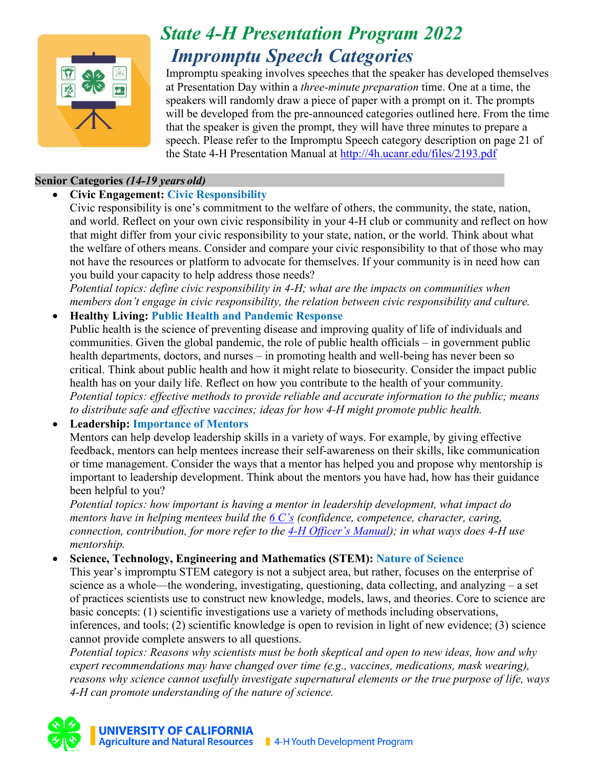

# *State 4-H Presentation Program 2022 Impromptu Speech Categories*

Impromptu speaking involves speeches that the speaker has developed themselves at Presentation Day within a *three-minute preparation* time. One at a time, the speakers will randomly draw a piece of paper with a prompt on it. The prompts will be developed from the pre-announced categories outlined here. From the time that the speaker is given the prompt, they will have three minutes to prepare a speech. Please refer to the Impromptu Speech category description on page 21 of the State 4-H Presentation Manual at<http://4h.ucanr.edu/files/2193.pdf>

## **Senior Categories** *(14-19 years old)*

# • **Civic Engagement: Civic Responsibility**

Civic responsibility is one's commitment to the welfare of others, the community, the state, nation, and world. Reflect on your own civic responsibility in your 4-H club or community and reflect on how that might differ from your civic responsibility to your state, nation, or the world. Think about what the welfare of others means. Consider and compare your civic responsibility to that of those who may not have the resources or platform to advocate for themselves. If your community is in need how can you build your capacity to help address those needs?

*Potential topics: define civic responsibility in 4-H; what are the impacts on communities when members don't engage in civic responsibility, the relation between civic responsibility and culture.* 

### • **Healthy Living: Public Health and Pandemic Response**

Public health is the science of preventing disease and improving quality of life of individuals and communities. Given the global pandemic, the role of public health officials – in government public health departments, doctors, and nurses – in promoting health and well-being has never been so critical. Think about public health and how it might relate to biosecurity. Consider the impact public health has on your daily life. Reflect on how you contribute to the health of your community. *Potential topics: effective methods to provide reliable and accurate information to the public; means to distribute safe and effective vaccines; ideas for how 4-H might promote public health.* 

# • **Leadership: Importance of Mentors**

Mentors can help develop leadership skills in a variety of ways. For example, by giving effective feedback, mentors can help mentees increase their self-awareness on their skills, like communication or time management. Consider the ways that a mentor has helped you and propose why mentorship is important to leadership development. Think about the mentors you have had, how has their guidance been helpful to you?

*Potential topics: how important is having a mentor in leadership development, what impact do mentors have in helping mentees build the [6 C's](https://4h.ucanr.edu/About/Framework/PYD/Thrive/4-H_Thrive_Resources/Step-It-Up-2-Thrive/Self-Reflection_Skills/) (confidence, competence, character, caring, connection, contribution, for more refer to the [4-H Officer's Manual\)](https://ucanr.edu/sites/UC4-H/files/167443.pdf); in what ways does 4-H use mentorship.* 

• **Science, Technology, Engineering and Mathematics (STEM): Nature of Science**

This year's impromptu STEM category is not a subject area, but rather, focuses on the enterprise of science as a whole—the wondering, investigating, questioning, data collecting, and analyzing – a set of practices scientists use to construct new knowledge, models, laws, and theories. Core to science are basic concepts: (1) scientific investigations use a variety of methods including observations, inferences, and tools; (2) scientific knowledge is open to revision in light of new evidence; (3) science cannot provide complete answers to all questions.

*Potential topics: Reasons why scientists must be both skeptical and open to new ideas, how and why expert recommendations may have changed over time (e.g., vaccines, medications, mask wearing), reasons why science cannot usefully investigate supernatural elements or the true purpose of life, ways 4-H can promote understanding of the nature of science.*